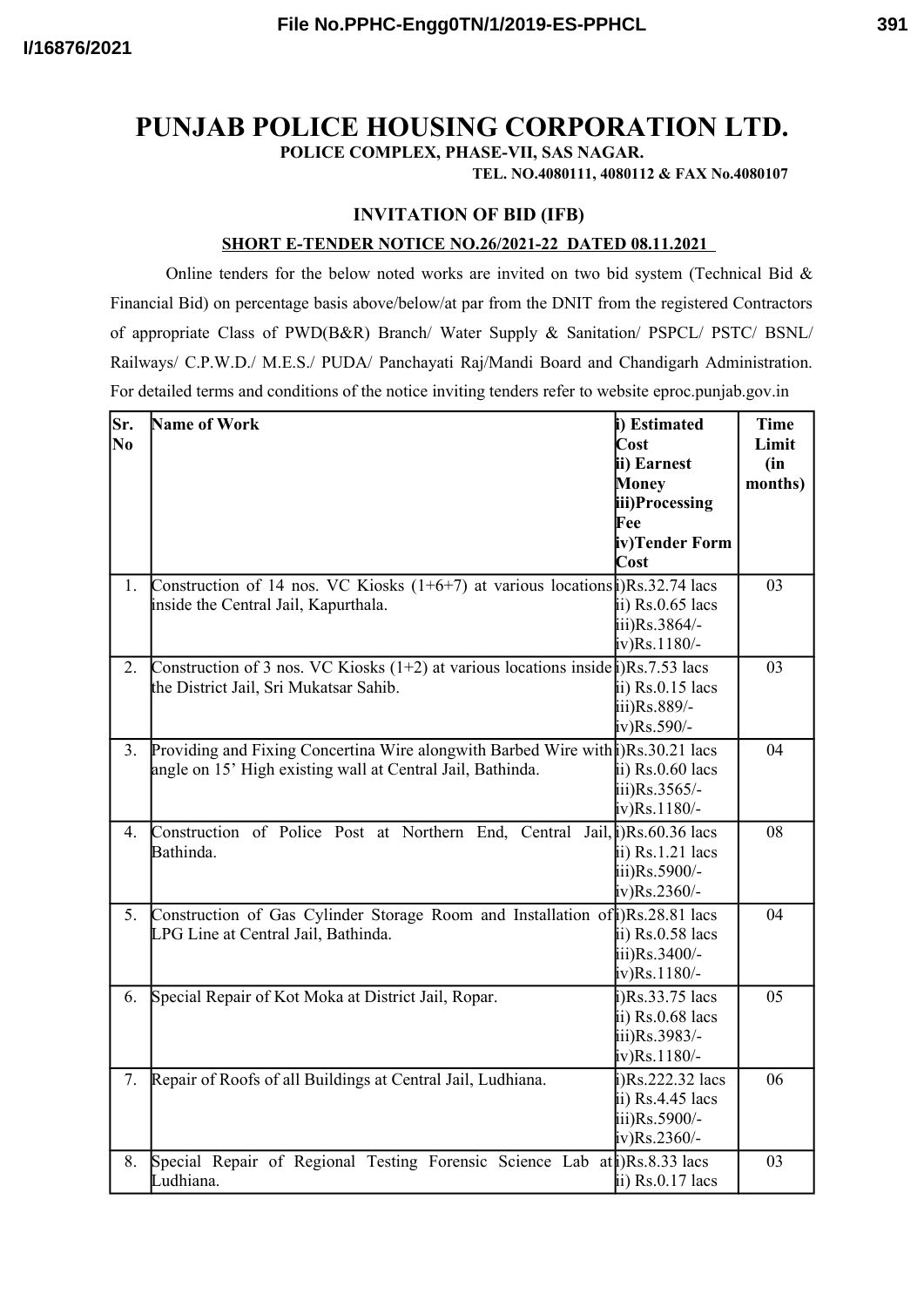**POLICE COMPLEX, PHASE-VII, SAS NAGAR.**

**TEL. NO.4080111, 4080112 & FAX No.4080107**

### **INVITATION OF BID (IFB)**

#### **SHORT E-TENDER NOTICE NO.26/2021-22 DATED 08.11.2021**

Online tenders for the below noted works are invited on two bid system (Technical Bid  $\&$ Financial Bid) on percentage basis above/below/at par from the DNIT from the registered Contractors of appropriate Class of PWD(B&R) Branch/ Water Supply & Sanitation/ PSPCL/ PSTC/ BSNL/ Railways/ C.P.W.D./ M.E.S./ PUDA/ Panchayati Raj/Mandi Board and Chandigarh Administration. For detailed terms and conditions of the notice inviting tenders refer to website eproc.punjab.gov.in

| Sr.      | Name of Work                                                                                     | i) Estimated        | <b>Time</b> |
|----------|--------------------------------------------------------------------------------------------------|---------------------|-------------|
| $\bf No$ |                                                                                                  | Cost                | Limit       |
|          |                                                                                                  | ii) Earnest         | (in         |
|          |                                                                                                  | Money               | months)     |
|          |                                                                                                  | iii)Processing      |             |
|          |                                                                                                  | Fee                 |             |
|          |                                                                                                  | iv)Tender Form      |             |
|          |                                                                                                  | Cost                |             |
| 1.       | Construction of 14 nos. VC Kiosks $(1+6+7)$ at various locations $ Rs.32.74 $ lacs               |                     | 03          |
|          | inside the Central Jail, Kapurthala.                                                             | ii) $Rs.0.65$ lacs  |             |
|          |                                                                                                  | iii)Rs.3864/-       |             |
|          |                                                                                                  | $iv)$ Rs.1180/-     |             |
| 2.       | Construction of 3 nos. VC Kiosks $(1+2)$ at various locations inside $\hat{\beta}$ )Rs.7.53 lacs |                     | 03          |
|          | the District Jail, Sri Mukatsar Sahib.                                                           | ii) $Rs.0.15$ lacs  |             |
|          |                                                                                                  | iii)Rs.889/-        |             |
|          |                                                                                                  | $iv)$ Rs.590/-      |             |
| 3.       | Providing and Fixing Concertina Wire alongwith Barbed Wire with (i) Rs. 30.21 lacs               |                     | 04          |
|          | angle on 15' High existing wall at Central Jail, Bathinda.                                       | ii) $Rs.0.60$ lacs  |             |
|          |                                                                                                  | iii)Rs.3565/-       |             |
|          |                                                                                                  | $iv)$ Rs.1180/-     |             |
| 4.       | Construction of Police Post at Northern End, Central Jail, $\mathbf{R}s$ . 60.36 lacs            |                     | 08          |
|          | Bathinda.                                                                                        | ii) $Rs.1.21$ lacs  |             |
|          |                                                                                                  | iii)Rs.5900/-       |             |
|          |                                                                                                  | $iv)$ Rs.2360/-     |             |
|          | 5. Construction of Gas Cylinder Storage Room and Installation of DRs.28.81 lacs                  |                     | 04          |
|          | LPG Line at Central Jail, Bathinda.                                                              | ii) $Rs.0.58$ lacs  |             |
|          |                                                                                                  | iii)Rs.3400/-       |             |
|          |                                                                                                  | $iv)$ Rs. 1180/-    |             |
| 6.       | Special Repair of Kot Moka at District Jail, Ropar.                                              | $i)$ Rs.33.75 lacs  | 05          |
|          |                                                                                                  | ii) Rs.0.68 lacs    |             |
|          |                                                                                                  | iii)Rs.3983/-       |             |
|          |                                                                                                  | $iv)$ Rs. 1180/-    |             |
| 7.       | Repair of Roofs of all Buildings at Central Jail, Ludhiana.                                      | $i)$ Rs.222.32 lacs | 06          |
|          |                                                                                                  | ii) $Rs.4.45$ lacs  |             |
|          |                                                                                                  | iii)Rs.5900/-       |             |
|          |                                                                                                  | $iv)$ Rs.2360/-     |             |
| 8.       | Special Repair of Regional Testing Forensic Science Lab at (Rs.8.33 lacs                         |                     | 03          |
|          | Ludhiana.                                                                                        | ii) $Rs.0.17$ lacs  |             |
|          |                                                                                                  |                     |             |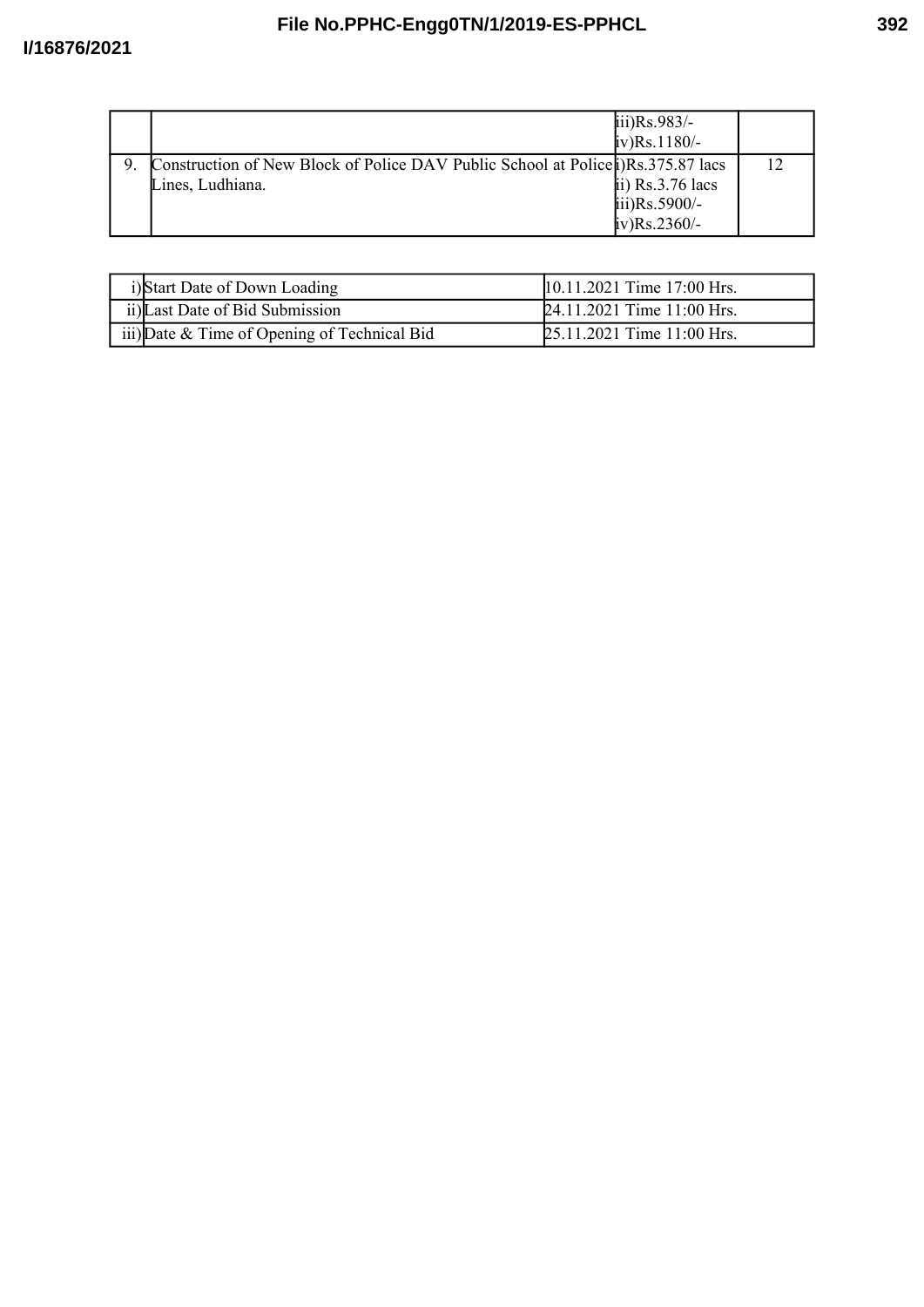# **File No.PPHC-Engg0TN/1/2019-ES-PPHCL**

|                                                                                    | $\text{iii)}\text{Rs}.983/-$    |  |
|------------------------------------------------------------------------------------|---------------------------------|--|
|                                                                                    | $iv)$ Rs.1180/-                 |  |
| Construction of New Block of Police DAV Public School at Police (i) Rs.375.87 lacs |                                 |  |
| Lines, Ludhiana.                                                                   | $\overline{a}$ ii) Rs.3.76 lacs |  |
|                                                                                    | $\text{iii)}\text{Rs}.5900/-$   |  |
|                                                                                    | $iv)$ Rs.2360/-                 |  |

| i)Start Date of Down Loading                 | 10.11.2021 Time 17:00 Hrs. |
|----------------------------------------------|----------------------------|
| ii) Last Date of Bid Submission              | 24.11.2021 Time 11:00 Hrs. |
| iii) Date & Time of Opening of Technical Bid | 25.11.2021 Time 11:00 Hrs. |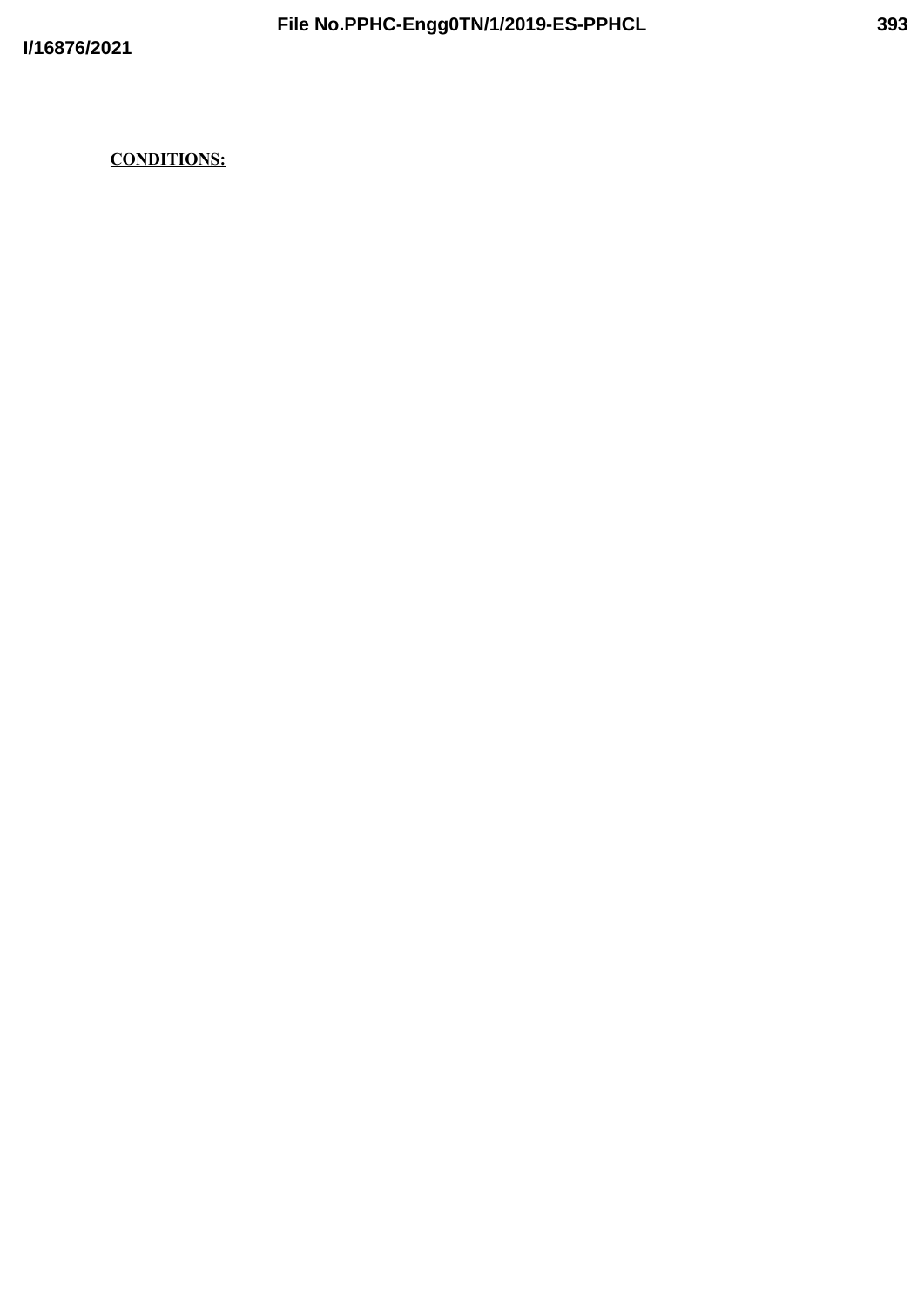## **CONDITIONS:**